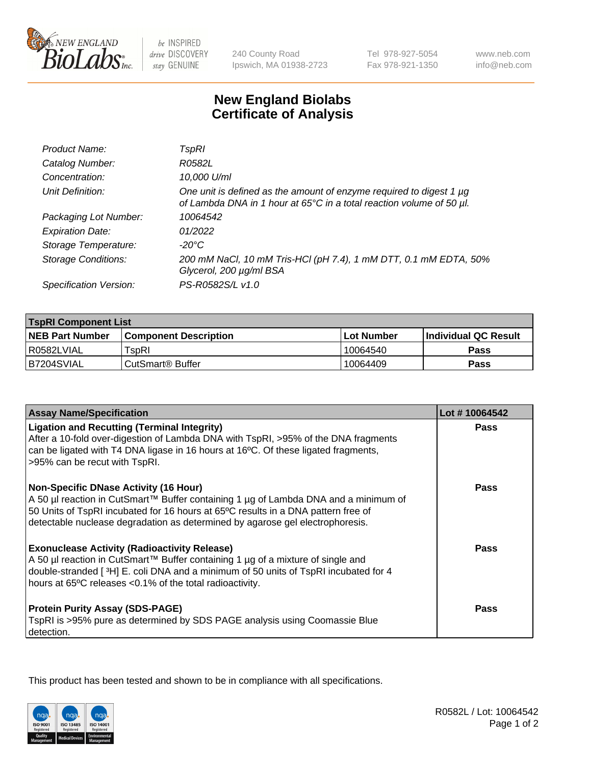

be INSPIRED drive DISCOVERY stay GENUINE

240 County Road Ipswich, MA 01938-2723 Tel 978-927-5054 Fax 978-921-1350

www.neb.com info@neb.com

## **New England Biolabs Certificate of Analysis**

| Product Name:              | TspRI                                                                                                                                            |
|----------------------------|--------------------------------------------------------------------------------------------------------------------------------------------------|
| Catalog Number:            | R0582L                                                                                                                                           |
| Concentration:             | 10,000 U/ml                                                                                                                                      |
| Unit Definition:           | One unit is defined as the amount of enzyme required to digest 1 $\mu$ g<br>of Lambda DNA in 1 hour at 65°C in a total reaction volume of 50 µl. |
| Packaging Lot Number:      | 10064542                                                                                                                                         |
| <b>Expiration Date:</b>    | 01/2022                                                                                                                                          |
| Storage Temperature:       | $-20^{\circ}$ C                                                                                                                                  |
| <b>Storage Conditions:</b> | 200 mM NaCl, 10 mM Tris-HCl (pH 7.4), 1 mM DTT, 0.1 mM EDTA, 50%<br>Glycerol, 200 µg/ml BSA                                                      |
| Specification Version:     | PS-R0582S/L v1.0                                                                                                                                 |

| <b>TspRI Component List</b> |                              |             |                             |  |  |
|-----------------------------|------------------------------|-------------|-----------------------------|--|--|
| <b>NEB Part Number</b>      | <b>Component Description</b> | ⊺Lot Number | <b>Individual QC Result</b> |  |  |
| l R0582LVIAL                | TspRI                        | 10064540    | Pass                        |  |  |
| B7204SVIAL                  | i CutSmart® Buffer_          | 10064409    | Pass                        |  |  |

| <b>Assay Name/Specification</b>                                                                                                                                                                                                                                                                           | Lot #10064542 |
|-----------------------------------------------------------------------------------------------------------------------------------------------------------------------------------------------------------------------------------------------------------------------------------------------------------|---------------|
| <b>Ligation and Recutting (Terminal Integrity)</b><br>After a 10-fold over-digestion of Lambda DNA with TspRI, >95% of the DNA fragments<br>can be ligated with T4 DNA ligase in 16 hours at 16°C. Of these ligated fragments,<br>>95% can be recut with TspRI.                                           | Pass          |
| <b>Non-Specific DNase Activity (16 Hour)</b><br>A 50 µl reaction in CutSmart™ Buffer containing 1 µg of Lambda DNA and a minimum of<br>50 Units of TspRI incubated for 16 hours at 65°C results in a DNA pattern free of<br>detectable nuclease degradation as determined by agarose gel electrophoresis. | <b>Pass</b>   |
| <b>Exonuclease Activity (Radioactivity Release)</b><br>A 50 µl reaction in CutSmart™ Buffer containing 1 µg of a mixture of single and<br>double-stranded [3H] E. coli DNA and a minimum of 50 units of TspRI incubated for 4<br>hours at 65°C releases <0.1% of the total radioactivity.                 | Pass          |
| <b>Protein Purity Assay (SDS-PAGE)</b><br>TspRI is >95% pure as determined by SDS PAGE analysis using Coomassie Blue<br>detection.                                                                                                                                                                        | Pass          |

This product has been tested and shown to be in compliance with all specifications.